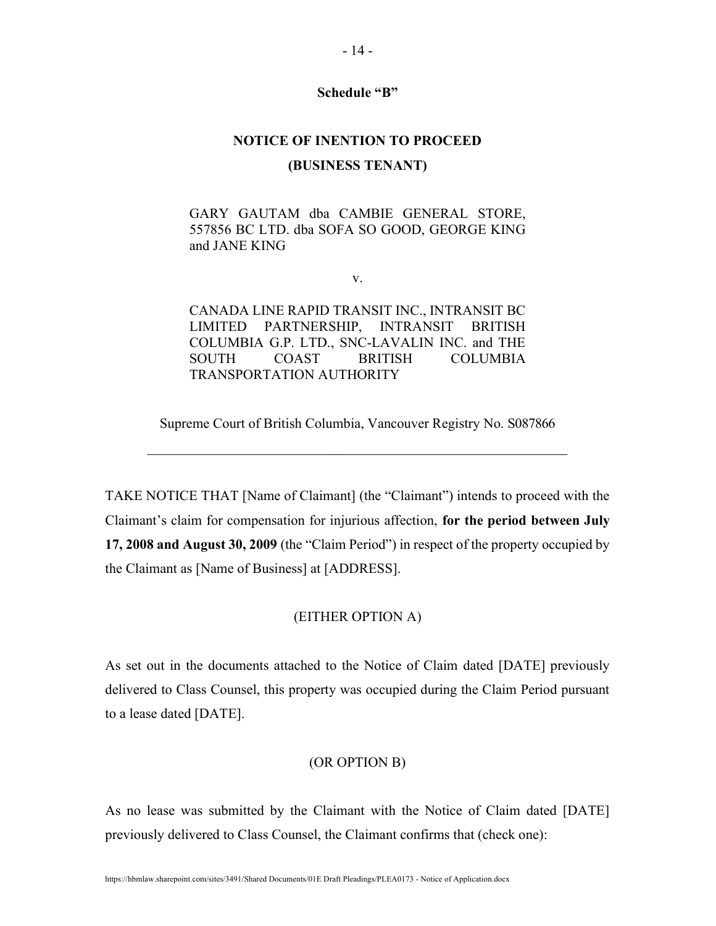## Schedule "B"

## NOTICE OF INENTION TO PROCEED (BUSINESS TENANT)

GARY GAUTAM dba CAMBIE GENERAL STORE, 557856 BC LTD. dba SOFA SO GOOD, GEORGE KING and JANE KING

v.

CANADA LINE RAPID TRANSIT INC., INTRANSIT BC LIMITED PARTNERSHIP, INTRANSIT BRITISH COLUMBIA G.P. LTD., SNC-LAVALIN INC. and THE SOUTH COAST BRITISH COLUMBIA TRANSPORTATION AUTHORITY

Supreme Court of British Columbia, Vancouver Registry No. S087866

TAKE NOTICE THAT [Name of Claimant] (the "Claimant") intends to proceed with the Claimant's claim for compensation for injurious affection, for the period between July 17, 2008 and August 30, 2009 (the "Claim Period") in respect of the property occupied by the Claimant as [Name of Business] at [ADDRESS].

## (EITHER OPTION A)

As set out in the documents attached to the Notice of Claim dated [DATE] previously delivered to Class Counsel, this property was occupied during the Claim Period pursuant to a lease dated [DATE].

## (OR OPTION B)

As no lease was submitted by the Claimant with the Notice of Claim dated [DATE] previously delivered to Class Counsel, the Claimant confirms that (check one):